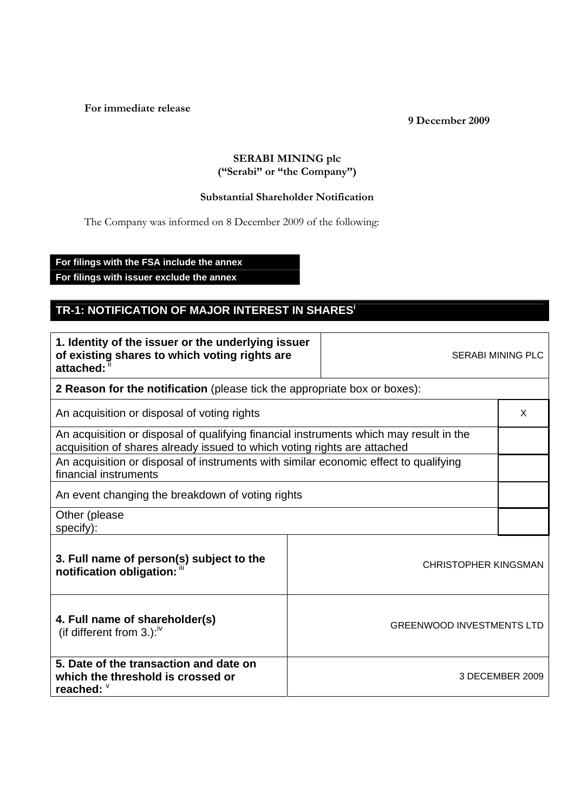**For immediate release** 

**9 December 2009** 

## **SERABI MINING plc ("Serabi" or "the Company")**

## **Substantial Shareholder Notification**

The Company was informed on 8 December 2009 of the following:

**For filings with the FSA include the annex** 

**For filings with issuer exclude the annex** 

## **TR-1: NOTIFICATION OF MAJOR INTEREST IN SHARES<sup>i</sup>**

| 1. Identity of the issuer or the underlying issuer<br>of existing shares to which voting rights are<br>attached:                                                   |  | <b>SERABI MINING PLC</b>         |   |
|--------------------------------------------------------------------------------------------------------------------------------------------------------------------|--|----------------------------------|---|
| 2 Reason for the notification (please tick the appropriate box or boxes):                                                                                          |  |                                  |   |
| An acquisition or disposal of voting rights                                                                                                                        |  |                                  | X |
| An acquisition or disposal of qualifying financial instruments which may result in the<br>acquisition of shares already issued to which voting rights are attached |  |                                  |   |
| An acquisition or disposal of instruments with similar economic effect to qualifying<br>financial instruments                                                      |  |                                  |   |
| An event changing the breakdown of voting rights                                                                                                                   |  |                                  |   |
| Other (please<br>specify):                                                                                                                                         |  |                                  |   |
| 3. Full name of person(s) subject to the<br>notification obligation: "                                                                                             |  | <b>CHRISTOPHER KINGSMAN</b>      |   |
| 4. Full name of shareholder(s)<br>(if different from 3.): $\sqrt{v}$                                                                                               |  | <b>GREENWOOD INVESTMENTS LTD</b> |   |
| 5. Date of the transaction and date on<br>which the threshold is crossed or<br>reached: V                                                                          |  | 3 DECEMBER 2009                  |   |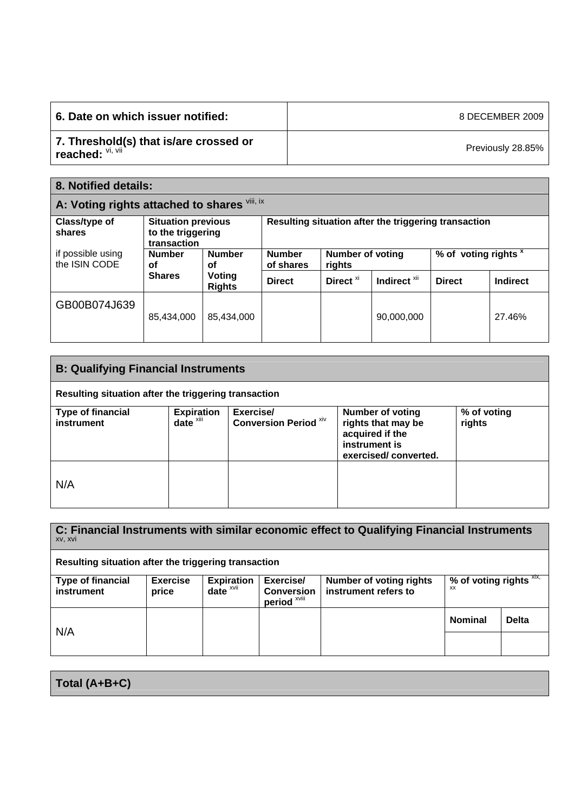| 6. Date on which issuer notified:                          | 8 DECEMBER 2009   |
|------------------------------------------------------------|-------------------|
| 7. Threshold(s) that is/are crossed or<br>reached: VI, VII | Previously 28.85% |

| 8. Notified details:                         |                                                               |                         |                            |                                   |                                                      |                                 |          |
|----------------------------------------------|---------------------------------------------------------------|-------------------------|----------------------------|-----------------------------------|------------------------------------------------------|---------------------------------|----------|
| A: Voting rights attached to shares Vill, ix |                                                               |                         |                            |                                   |                                                      |                                 |          |
| Class/type of<br>shares                      | <b>Situation previous</b><br>to the triggering<br>transaction |                         |                            |                                   | Resulting situation after the triggering transaction |                                 |          |
| if possible using<br>the ISIN CODE           | <b>Number</b><br><b>Number</b><br>οf<br>οf                    |                         | <b>Number</b><br>of shares | <b>Number of voting</b><br>rights |                                                      | % of voting rights <sup>x</sup> |          |
|                                              | <b>Shares</b>                                                 | Voting<br><b>Rights</b> | <b>Direct</b>              | Direct <sup>xi</sup>              | Indirect <sup>xii</sup>                              | <b>Direct</b>                   | Indirect |
| GB00B074J639                                 | 85.434.000                                                    | 85.434.000              |                            |                                   | 90.000.000                                           |                                 | 27.46%   |

| <b>B: Qualifying Financial Instruments</b>           |                                           |                                           |                                                                                                           |                       |
|------------------------------------------------------|-------------------------------------------|-------------------------------------------|-----------------------------------------------------------------------------------------------------------|-----------------------|
| Resulting situation after the triggering transaction |                                           |                                           |                                                                                                           |                       |
| <b>Type of financial</b><br>instrument               | <b>Expiration</b><br>date <sup>xiii</sup> | Exercise/<br><b>Conversion Period Xiv</b> | <b>Number of voting</b><br>rights that may be<br>acquired if the<br>instrument is<br>exercised/converted. | % of voting<br>rights |
| N/A                                                  |                                           |                                           |                                                                                                           |                       |

| C: Financial Instruments with similar economic effect to Qualifying Financial Instruments<br>XV, XVI |                          |                               |                                                |                                                 |                                      |              |
|------------------------------------------------------------------------------------------------------|--------------------------|-------------------------------|------------------------------------------------|-------------------------------------------------|--------------------------------------|--------------|
| Resulting situation after the triggering transaction                                                 |                          |                               |                                                |                                                 |                                      |              |
| <b>Type of financial</b><br>instrument                                                               | <b>Exercise</b><br>price | <b>Expiration</b><br>$date^x$ | Exercise/<br><b>Conversion</b><br>period XVIII | Number of voting rights<br>instrument refers to | % of voting rights XIX,<br><b>XX</b> |              |
| N/A                                                                                                  |                          |                               |                                                |                                                 | <b>Nominal</b>                       | <b>Delta</b> |
|                                                                                                      |                          |                               |                                                |                                                 |                                      |              |

**Total (A+B+C)**